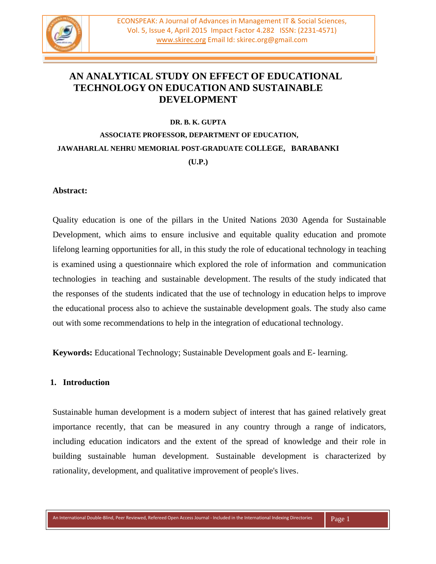

# **AN ANALYTICAL STUDY ON EFFECT OF EDUCATIONAL TECHNOLOGY ON EDUCATION AND SUSTAINABLE DEVELOPMENT**

#### **DR. B. K. GUPTA**

# **ASSOCIATE PROFESSOR, DEPARTMENT OF EDUCATION, JAWAHARLAL NEHRU MEMORIAL POST-GRADUATE COLLEGE, BARABANKI (U.P.)**

#### **Abstract:**

Quality education is one of the pillars in the United Nations 2030 Agenda for Sustainable Development, which aims to ensure inclusive and equitable quality education and promote lifelong learning opportunities for all, in this study the role of educational technology in teaching is examined using a questionnaire which explored the role of information and communication technologies in teaching and sustainable development. The results of the study indicated that the responses of the students indicated that the use of technology in education helps to improve the educational process also to achieve the sustainable development goals. The study also came out with some recommendations to help in the integration of educational technology.

**Keywords:** Educational Technology; Sustainable Development goals and E- learning.

#### **1. Introduction**

Sustainable human development is a modern subject of interest that has gained relatively great importance recently, that can be measured in any country through a range of indicators, including education indicators and the extent of the spread of knowledge and their role in building sustainable human development. Sustainable development is characterized by rationality, development, and qualitative improvement of people's lives.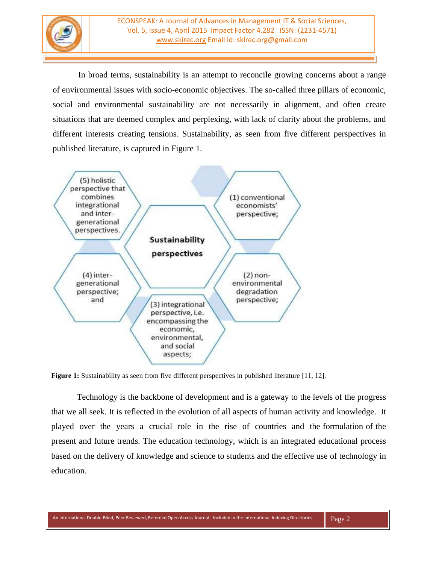

In broad terms, sustainability is an attempt to reconcile growing concerns about a range of environmental issues with socio-economic objectives. The so-called three pillars of economic, social and environmental sustainability are not necessarily in alignment, and often create situations that are deemed complex and perplexing, with lack of clarity about the problems, and different interests creating tensions. Sustainability, as seen from five different perspectives in published literature, is captured in Figure 1.



**Figure 1:** Sustainability as seen from five different perspectives in published literature [11, 12].

Technology is the backbone of development and is a gateway to the levels of the progress that we all seek. It is reflected in the evolution of all aspects of human activity and knowledge. It played over the years a crucial role in the rise of countries and the formulation of the present and future trends. The education technology, which is an integrated educational process based on the delivery of knowledge and science to students and the effective use of technology in education.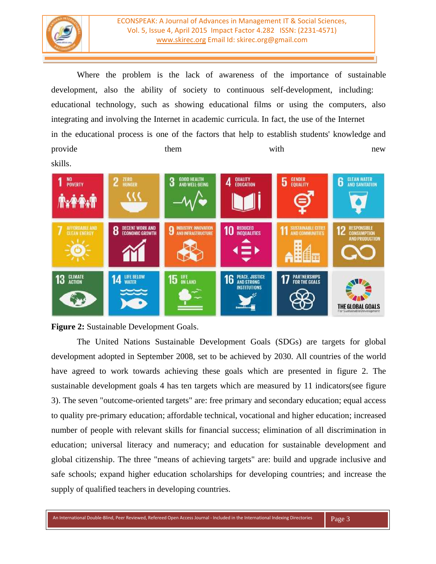

ECONSPEAK: A Journal of Advances in Management IT & Social Sciences, Vol. 5, Issue 4, April 2015 Impact Factor 4.282 ISSN: (2231-4571) [www.skirec.org](http://www.skirec.org/) Email Id: skirec.org@gmail.com

Where the problem is the lack of awareness of the importance of sustainable development, also the ability of society to continuous self-development, including: educational technology, such as showing educational films or using the computers, also integrating and involving the Internet in academic curricula. In fact, the use of the Internet in the educational process is one of the factors that help to establish students' knowledge and provide them with with new skills.





The United Nations Sustainable Development Goals (SDGs) are targets for global development adopted in September 2008, set to be achieved by 2030. All countries of the world have agreed to work towards achieving these goals which are presented in figure 2. The sustainable development goals 4 has ten targets which are measured by 11 indicators(see figure 3). The seven "outcome-oriented targets" are: free [primary](https://en.wikipedia.org/wiki/Primary_education) and [secondary education;](https://en.wikipedia.org/wiki/Secondary_education) equal access to quality [pre-primary education;](https://en.wikipedia.org/wiki/Preschool) affordable technical, [vocational](https://en.wikipedia.org/wiki/Vocational_education) and [higher education;](https://en.wikipedia.org/wiki/Higher_education) increased number of people with relevant skills for financial success; elimination of all [discrimination](https://en.wikipedia.org/wiki/Discrimination_in_education) in [education;](https://en.wikipedia.org/wiki/Discrimination_in_education) universal [literacy](https://en.wikipedia.org/wiki/Literacy) and [numeracy;](https://en.wikipedia.org/wiki/Numeracy) and education for [sustainable development](https://en.wikipedia.org/wiki/Education_for_sustainable_development) and global citizenship. The three "means of achieving targets" are: build and upgrade inclusive and safe schools; expand higher [education](https://en.wikipedia.org/wiki/Higher_education) scholarships for developing countries; and increase the supply of qualified [teachers](https://en.wikipedia.org/wiki/Teacher) in developing countries.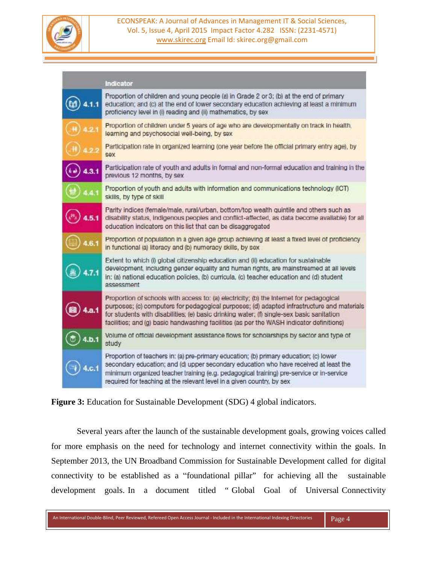

| Indicator                                                                                                                                                                                                                                                                                                                                                                      |  |
|--------------------------------------------------------------------------------------------------------------------------------------------------------------------------------------------------------------------------------------------------------------------------------------------------------------------------------------------------------------------------------|--|
| Proportion of children and young people (a) in Grade 2 or 3; (b) at the end of primary<br>education; and (c) at the end of lower secondary education achieving at least a minimum<br>proficiency level in (i) reading and (ii) mathematics, by sex                                                                                                                             |  |
| Proportion of children under 5 years of age who are developmentally on track in health,<br>learning and psychosocial well-being, by sex                                                                                                                                                                                                                                        |  |
| Participation rate in organized learning (one year before the official primary entry age), by<br>SAX                                                                                                                                                                                                                                                                           |  |
| Participation rate of youth and adults in formal and non-formal education and training in the<br>previous 12 months, by sex                                                                                                                                                                                                                                                    |  |
| Proportion of youth and adults with information and communications technology (ICT)<br>skills, by type of skill                                                                                                                                                                                                                                                                |  |
| Parity indices (female/male, rural/urban, bottom/top wealth quintile and others such as<br>disability status, indigenous peoples and conflict-affected, as data become available) for all<br>education indicators on this list that can be disaggregated                                                                                                                       |  |
| Proportion of population in a given age group achieving at least a fixed level of proficiency<br>in functional (a) literacy and (b) numeracy skills, by sex                                                                                                                                                                                                                    |  |
| Extent to which (i) global citizenship education and (ii) education for sustainable<br>development, including gender equality and human rights, are mainstreamed at all levels<br>in: (a) national education policies, (b) curricula, (c) teacher education and (d) student<br>mempposes                                                                                       |  |
| Proportion of schools with access to: (a) electricity; (b) the Internet for pedagogical<br>purposes; (c) computers for pedagogical purposes; (d) adapted infrastructure and materials<br>for students with disabilities; (e) basic drinking water; (f) single-sex basic sanitation<br>facilities; and (g) basic handwashing facilities (as per the WASH indicator definitions) |  |
| Volume of official development assistance flows for scholarships by sector and type of<br>study                                                                                                                                                                                                                                                                                |  |
| Proportion of teachers in: (a) pre-primary education; (b) primary education; (c) lower<br>secondary education; and (d) upper secondary education who have received at least the<br>minimum organized teacher training (e.g. pedagogical training) pre-service or in-service<br>required for teaching at the relevant level in a given country, by sex                          |  |

**Figure 3:** Education for Sustainable Development (SDG) 4 global indicators.

Several years after the launch of the sustainable development goals, growing voices called for more emphasis on the need for technology and internet connectivity within the goals. In September 2013, the UN Broadband Commission for Sustainable Development called for digital connectivity to be established as a "foundational pillar" for achieving all the sustainable development goals. In a document titled " Global Goal of Universal Connectivity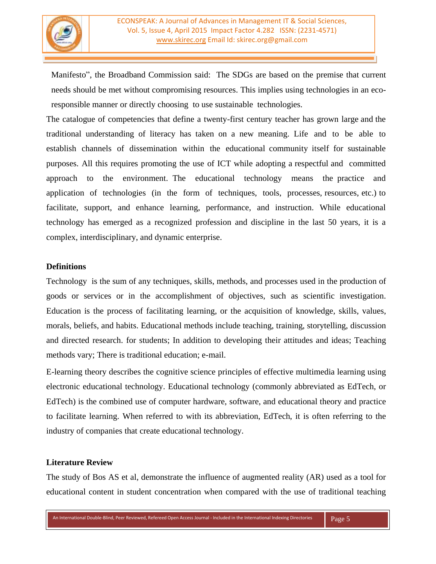

Manifesto", the Broadband Commission said: The SDGs are based on the premise that current needs should be met without compromising resources. This implies using technologies in an ecoresponsible manner or directly choosing to use sustainable technologies.

The catalogue of competencies that define a twenty-first century teacher has grown large and the traditional understanding of literacy has taken on a new meaning. Life and to be able to establish channels of dissemination within the educational community itself for sustainable purposes. All this requires promoting the use of ICT while adopting a respectful and committed approach to the environment. The educational technology means the practice and application of technologies (in the form of techniques, tools, processes, resources, etc.) to facilitate, support, and enhance learning, performance, and instruction. While educational technology has emerged as a recognized profession and discipline in the last 50 years, it is a complex, interdisciplinary, and dynamic enterprise.

## **Definitions**

Technology is the sum of any [techniques,](https://en.wikipedia.org/wiki/Art_techniques_and_materials) [skills,](https://en.wikipedia.org/wiki/Art_techniques_and_materials) [methods,](https://en.wikipedia.org/wiki/Scientific_method) and [processes](https://en.wikipedia.org/wiki/Business_process) used in the production of [goods](https://en.wikipedia.org/wiki/Good_(economics)) or [services](https://en.wikipedia.org/wiki/Service_(economics)) or in the accomplishment of objectives, such as [scientific](https://en.wikipedia.org/wiki/Scientific_method) [investigation.](https://en.wikipedia.org/wiki/Scientific_method) Education is the process of facilitating [learning,](https://en.wikipedia.org/wiki/Learning) or the acquisition of [knowledge,](https://en.wikipedia.org/wiki/Knowledge) [skills,](https://en.wikipedia.org/wiki/Knowledge) [values,](https://en.wikipedia.org/wiki/Value_(ethics)) [mo](https://en.wikipedia.org/wiki/Value_(ethics))rals, [beliefs,](https://en.wikipedia.org/wiki/Belief) and [habits.](https://en.wikipedia.org/wiki/Habit) Educational methods include [teaching,](https://en.wikipedia.org/wiki/Teaching) [training,](https://en.wikipedia.org/wiki/Teaching) [storytelling,](https://en.wikipedia.org/wiki/Storytelling) [discussion](https://en.wikipedia.org/wiki/Storytelling) and directed [research.](https://en.wikipedia.org/wiki/Research) for students; In addition to developing their attitudes and ideas; Teaching methods vary; There is traditional education; e-mail.

E-learning theory describes the [cognitive](https://en.wikipedia.org/wiki/Cognitive_science) science principles of effective multimedia learning using electronic educational [technology.](https://en.wikipedia.org/wiki/Educational_technology) Educational technology (commonly abbreviated as EdTech, or EdTech) is the combined use of computer hardware, software, and [educational](https://en.wikipedia.org/wiki/Education_sciences) theory and practice to facilitate [learning.](https://en.wikipedia.org/wiki/Learning) When referred to with its abbreviation, EdTech, it is often referring to the industry of companies that create educational technology.

## **Literature Review**

The study of Bos AS et al, demonstrate the influence of augmented reality (AR) used as a tool for educational content in student concentration when compared with the use of traditional teaching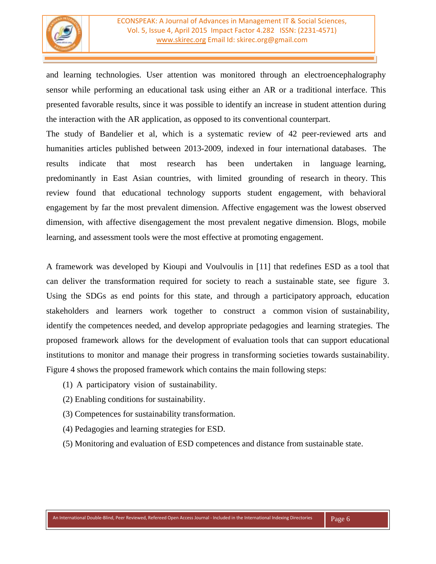

and learning technologies. User attention was monitored through an electroencephalography sensor while performing an educational task using either an AR or a traditional interface. This presented favorable results, since it was possible to identify an increase in student attention during the interaction with the AR application, as opposed to its conventional counterpart.

The study of Bandelier et al, which is a systematic review of 42 peer-reviewed arts and humanities articles published between 2013-2009, indexed in four international databases. The results indicate that most research has been undertaken in language learning, predominantly in East Asian countries, with limited grounding of research in theory. This review found that educational technology supports student engagement, with behavioral engagement by far the most prevalent dimension. Affective engagement was the lowest observed dimension, with affective disengagement the most prevalent negative dimension. Blogs, mobile learning, and assessment tools were the most effective at promoting engagement.

A framework was developed by Kioupi and Voulvoulis in [11] that redefines ESD as a tool that can deliver the transformation required for society to reach a sustainable state, see figure 3. Using the SDGs as end points for this state, and through a participatory approach, education stakeholders and learners work together to construct a common vision of sustainability, identify the competences needed, and develop appropriate pedagogies and learning strategies. The proposed framework allows for the development of evaluation tools that can support educational institutions to monitor and manage their progress in transforming societies towards sustainability. Figure 4 shows the proposed framework which contains the main following steps:

- (1) A participatory vision of sustainability.
- (2) Enabling conditions for sustainability.
- (3) Competences for sustainability transformation.
- (4) Pedagogies and learning strategies for ESD.
- (5) Monitoring and evaluation of ESD competences and distance from sustainable state.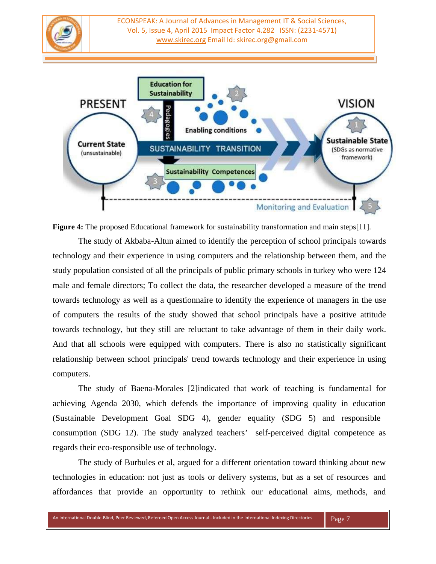ECONSPEAK: A Journal of Advances in Management IT & Social Sciences, Vol. 5, Issue 4, April 2015 Impact Factor 4.282 ISSN: (2231-4571) [www.skirec.org](http://www.skirec.org/) Email Id: skirec.org@gmail.com



**Figure 4:** The proposed Educational framework for sustainability transformation and main steps[11].

The study of Akbaba-Altun aimed to identify the perception of school principals towards technology and their experience in using computers and the relationship between them, and the study population consisted of all the principals of public primary schools in turkey who were 124 male and female directors; To collect the data, the researcher developed a measure of the trend towards technology as well as a questionnaire to identify the experience of managers in the use of computers the results of the study showed that school principals have a positive attitude towards technology, but they still are reluctant to take advantage of them in their daily work. And that all schools were equipped with computers. There is also no statistically significant relationship between school principals' trend towards technology and their experience in using computers.

The study of Baena-Morales [2]indicated that work of teaching is fundamental for achieving Agenda 2030, which defends the importance of improving quality in education (Sustainable Development Goal SDG 4), gender equality (SDG 5) and responsible consumption (SDG 12). The study analyzed teachers' self-perceived digital competence as regards their eco-responsible use of technology.

The study of Burbules et al, argued for a different orientation toward thinking about new technologies in education: not just as tools or delivery systems, but as a set of resources and affordances that provide an opportunity to rethink our educational aims, methods, and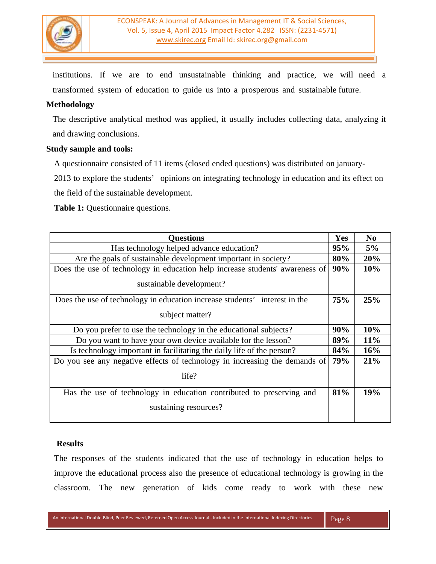

institutions. If we are to end unsustainable thinking and practice, we will need a transformed system of education to guide us into a prosperous and sustainable future.

## **Methodology**

The descriptive analytical method was applied, it usually includes collecting data, analyzing it and drawing conclusions.

## **Study sample and tools:**

A questionnaire consisted of 11 items (closed ended questions) was distributed on january-

2013 to explore the students' opinions on integrating technology in education and its effect on

the field of the sustainable development.

**Table 1:** Questionnaire questions.

| <b>Questions</b>                                                             | Yes | No    |
|------------------------------------------------------------------------------|-----|-------|
| Has technology helped advance education?                                     |     | $5\%$ |
| Are the goals of sustainable development important in society?               |     | 20%   |
| Does the use of technology in education help increase students' awareness of |     | 10%   |
| sustainable development?                                                     |     |       |
| Does the use of technology in education increase students' interest in the   | 75% | 25%   |
| subject matter?                                                              |     |       |
| Do you prefer to use the technology in the educational subjects?             |     | 10%   |
| Do you want to have your own device available for the lesson?                |     | 11%   |
| Is technology important in facilitating the daily life of the person?        |     | 16%   |
| Do you see any negative effects of technology in increasing the demands of   |     | 21%   |
| life?                                                                        |     |       |
| Has the use of technology in education contributed to preserving and         |     | 19%   |
| sustaining resources?                                                        |     |       |

#### **Results**

The responses of the students indicated that the use of technology in education helps to improve the educational process also the presence of educational technology is growing in the classroom. The new generation of kids come ready to work with these new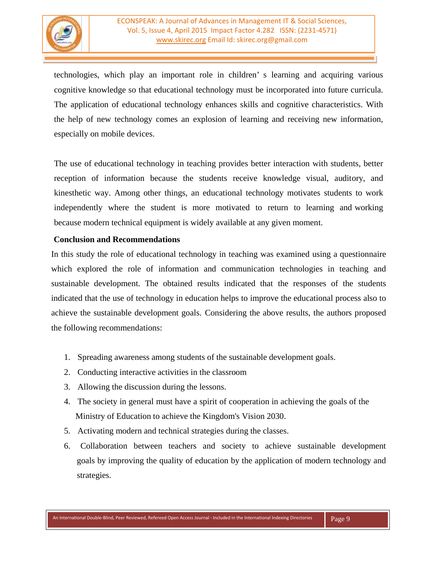technologies, which play an important role in children' s learning and acquiring various cognitive knowledge so that educational technology must be incorporated into future curricula. The application of educational technology enhances skills and cognitive characteristics. With the help of new technology comes an explosion of learning and receiving new information, especially on mobile devices.

The use of educational technology in teaching provides better interaction with students, better reception of information because the students receive knowledge visual, auditory, and kinesthetic way. Among other things, an educational technology motivates students to work independently where the student is more motivated to return to learning and working because modern technical equipment is widely available at any given moment.

## **Conclusion and Recommendations**

In this study the role of educational technology in teaching was examined using a questionnaire which explored the role of information and communication technologies in teaching and sustainable development. The obtained results indicated that the responses of the students indicated that the use of technology in education helps to improve the educational process also to achieve the sustainable development goals. Considering the above results, the authors proposed the following recommendations:

- 1. Spreading awareness among students of the sustainable development goals.
- 2. Conducting interactive activities in the classroom
- 3. Allowing the discussion during the lessons.
- 4. The society in general must have a spirit of cooperation in achieving the goals of the Ministry of Education to achieve the Kingdom's Vision 2030.
- 5. Activating modern and technical strategies during the classes.
- 6. Collaboration between teachers and society to achieve sustainable development goals by improving the quality of education by the application of modern technology and strategies.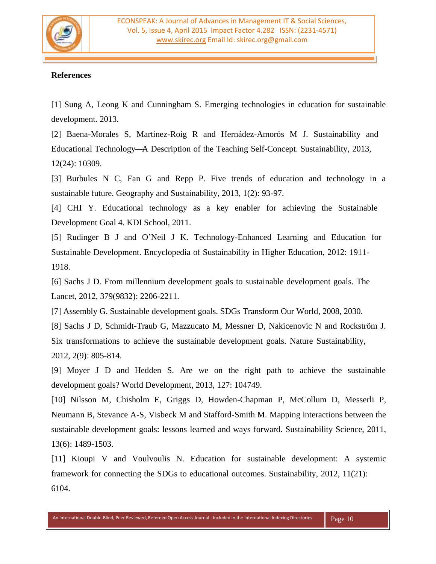

## **References**

[1] Sung A, Leong K and Cunningham S. Emerging technologies in education for sustainable development. 2013.

[2] Baena-Morales S, Martinez-Roig R and Hernádez-Amorós M J. Sustainability and Educational Technology—A Description of the Teaching Self-Concept. Sustainability, 2013, 12(24): 10309.

[3] Burbules N C, Fan G and Repp P. Five trends of education and technology in a sustainable future. Geography and Sustainability, 2013, 1(2): 93-97.

[4] CHI Y. Educational technology as a key enabler for achieving the Sustainable Development Goal 4. KDI School, 2011.

[5] Rudinger B J and O'Neil J K. Technology-Enhanced Learning and Education for Sustainable Development. Encyclopedia of Sustainability in Higher Education, 2012: 1911- 1918.

[6] Sachs J D. From millennium development goals to sustainable development goals. The Lancet, 2012, 379(9832): 2206-2211.

[7] Assembly G. Sustainable development goals. SDGs Transform Our World, 2008, 2030.

[8] Sachs J D, Schmidt-Traub G, Mazzucato M, Messner D, Nakicenovic N and Rockström J. Six transformations to achieve the sustainable development goals. Nature Sustainability, 2012, 2(9): 805-814.

[9] Moyer J D and Hedden S. Are we on the right path to achieve the sustainable development goals? World Development, 2013, 127: 104749.

[10] Nilsson M, Chisholm E, Griggs D, Howden-Chapman P, McCollum D, Messerli P, Neumann B, Stevance A-S, Visbeck M and Stafford-Smith M. Mapping interactions between the sustainable development goals: lessons learned and ways forward. Sustainability Science, 2011, 13(6): 1489-1503.

[11] Kioupi V and Voulvoulis N. Education for sustainable development: A systemic framework for connecting the SDGs to educational outcomes. Sustainability, 2012, 11(21): 6104.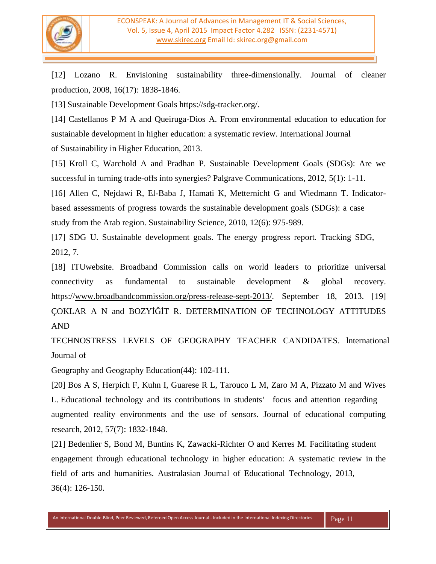

[12] Lozano R. Envisioning sustainability three-dimensionally. Journal of cleaner production, 2008, 16(17): 1838-1846.

[13] Sustainable Development Goals https://sdg-tracker.org/.

[14] Castellanos P M A and Queiruga-Dios A. From environmental education to education for sustainable development in higher education: a systematic review. International Journal of Sustainability in Higher Education, 2013.

[15] Kroll C, Warchold A and Pradhan P. Sustainable Development Goals (SDGs): Are we successful in turning trade-offs into synergies? Palgrave Communications, 2012, 5(1): 1-11.

[16] Allen C, Nejdawi R, El-Baba J, Hamati K, Metternicht G and Wiedmann T. Indicatorbased assessments of progress towards the sustainable development goals (SDGs): a case study from the Arab region. Sustainability Science, 2010, 12(6): 975-989.

[17] SDG U. Sustainable development goals. The energy progress report. Tracking SDG, 2012, 7.

[18] ITUwebsite. Broadband Commission calls on world leaders to prioritize universal connectivity as fundamental to sustainable development & global recovery. https:/[/www.broadbandcommission.org/press-release-sept-2013/.](http://www.broadbandcommission.org/press-release-sept-2020/) September 18, 2013. [19] ÇOKLAR A N and BOZYİĞİT R. DETERMINATION OF TECHNOLOGY ATTITUDES AND

TECHNOSTRESS LEVELS OF GEOGRAPHY TEACHER CANDIDATES. lnternational Journal of

Geography and Geography Education(44): 102-111.

[20] Bos A S, Herpich F, Kuhn I, Guarese R L, Tarouco L M, Zaro M A, Pizzato M and Wives L. Educational technology and its contributions in students' focus and attention regarding augmented reality environments and the use of sensors. Journal of educational computing research, 2012, 57(7): 1832-1848.

[21] Bedenlier S, Bond M, Buntins K, Zawacki-Richter O and Kerres M. Facilitating student engagement through educational technology in higher education: A systematic review in the field of arts and humanities. Australasian Journal of Educational Technology, 2013, 36(4): 126-150.